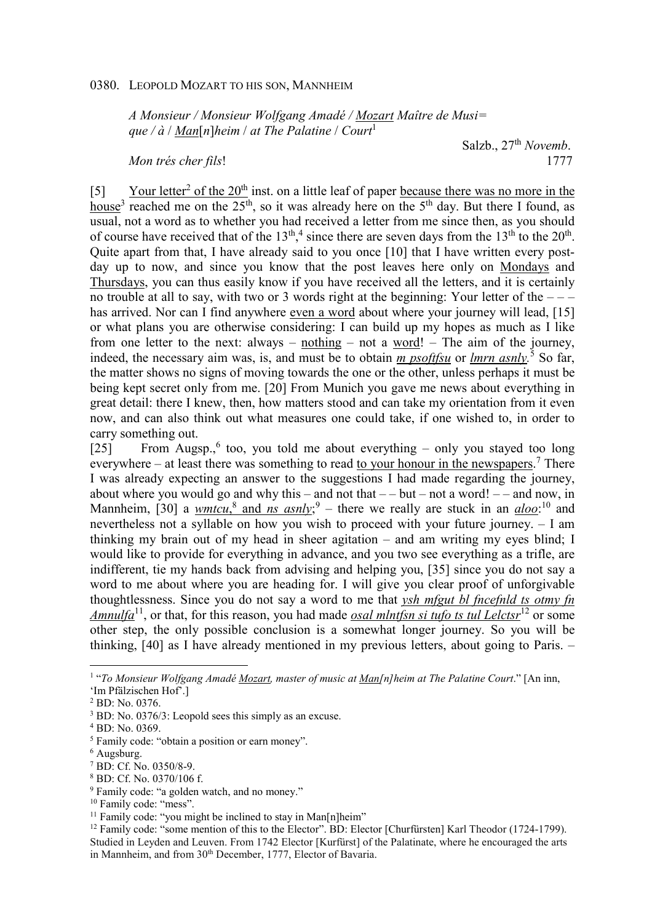## 0380. LEOPOLD MOZART TO HIS SON, MANNHEIM

*A Monsieur / Monsieur Wolfgang Amadé / Mozart Maître de Musi=*   $que / d / Man[n]heim / at The Palatine / Court<sup>1</sup>$ 

Salzb., 27<sup>th</sup> *Novemb*. *Mon trés cher fils*! 1777

[5] Your letter<sup>2</sup> of the  $20<sup>th</sup>$  inst. on a little leaf of paper because there was no more in the house<sup>3</sup> reached me on the 25<sup>th</sup>, so it was already here on the 5<sup>th</sup> day. But there I found, as usual, not a word as to whether you had received a letter from me since then, as you should of course have received that of the  $13<sup>th</sup>$ ,<sup>4</sup> since there are seven days from the  $13<sup>th</sup>$  to the  $20<sup>th</sup>$ . Quite apart from that, I have already said to you once [10] that I have written every postday up to now, and since you know that the post leaves here only on Mondays and Thursdays, you can thus easily know if you have received all the letters, and it is certainly no trouble at all to say, with two or 3 words right at the beginning: Your letter of the  $--$ has arrived. Nor can I find anywhere even a word about where your journey will lead, [15] or what plans you are otherwise considering: I can build up my hopes as much as I like from one letter to the next: always – nothing – not a word! – The aim of the journey, indeed, the necessary aim was, is, and must be to obtain *m psoftfsu* or *lmrn asnly*.<sup>5</sup> So far, the matter shows no signs of moving towards the one or the other, unless perhaps it must be being kept secret only from me. [20] From Munich you gave me news about everything in great detail: there I knew, then, how matters stood and can take my orientation from it even now, and can also think out what measures one could take, if one wished to, in order to carry something out.

[25] From Augsp.,<sup>6</sup> too, you told me about everything – only you stayed too long everywhere – at least there was something to read to your honour in the newspapers.<sup>7</sup> There I was already expecting an answer to the suggestions I had made regarding the journey, about where you would go and why this – and not that  $-$  but – not a word! – – and now, in Mannheim, [30] a *wmtcu*,<sup>8</sup> and *ns asnly*;<sup>9</sup> – there we really are stuck in an *aloo*:<sup>10</sup> and nevertheless not a syllable on how you wish to proceed with your future journey. – I am thinking my brain out of my head in sheer agitation – and am writing my eyes blind; I would like to provide for everything in advance, and you two see everything as a trifle, are indifferent, tie my hands back from advising and helping you, [35] since you do not say a word to me about where you are heading for. I will give you clear proof of unforgivable thoughtlessness. Since you do not say a word to me that *ysh mfgut bl fncefnld ts otmy fn Amnulfa*<sup>11</sup>, or that, for this reason, you had made *osal mlntfsn si tufo ts tul Lelctsr*<sup>12</sup> or some other step, the only possible conclusion is a somewhat longer journey. So you will be thinking, [40] as I have already mentioned in my previous letters, about going to Paris. –

 $\overline{a}$ 

8 BD: Cf. No. 0370/106 f.

<sup>&</sup>lt;sup>1</sup> "To Monsieur Wolfgang Amadé *Mozart, master of music at Man[n]heim at The Palatine Court*." [An inn, 'Im Pfälzischen Hof'.]

<sup>2</sup> BD: No. 0376.

<sup>&</sup>lt;sup>3</sup> BD: No. 0376/3: Leopold sees this simply as an excuse.

<sup>4</sup> BD: No. 0369.

<sup>5</sup> Family code: "obtain a position or earn money".

<sup>6</sup> Augsburg.

<sup>7</sup> BD: Cf. No. 0350/8-9.

<sup>9</sup> Family code: "a golden watch, and no money."

<sup>&</sup>lt;sup>10</sup> Family code: "mess".

<sup>&</sup>lt;sup>11</sup> Family code: "you might be inclined to stay in Man[n]heim"

<sup>&</sup>lt;sup>12</sup> Family code: "some mention of this to the Elector". BD: Elector [Churfürsten] Karl Theodor (1724-1799). Studied in Leyden and Leuven. From 1742 Elector [Kurfürst] of the Palatinate, where he encouraged the arts in Mannheim, and from 30<sup>th</sup> December, 1777, Elector of Bavaria.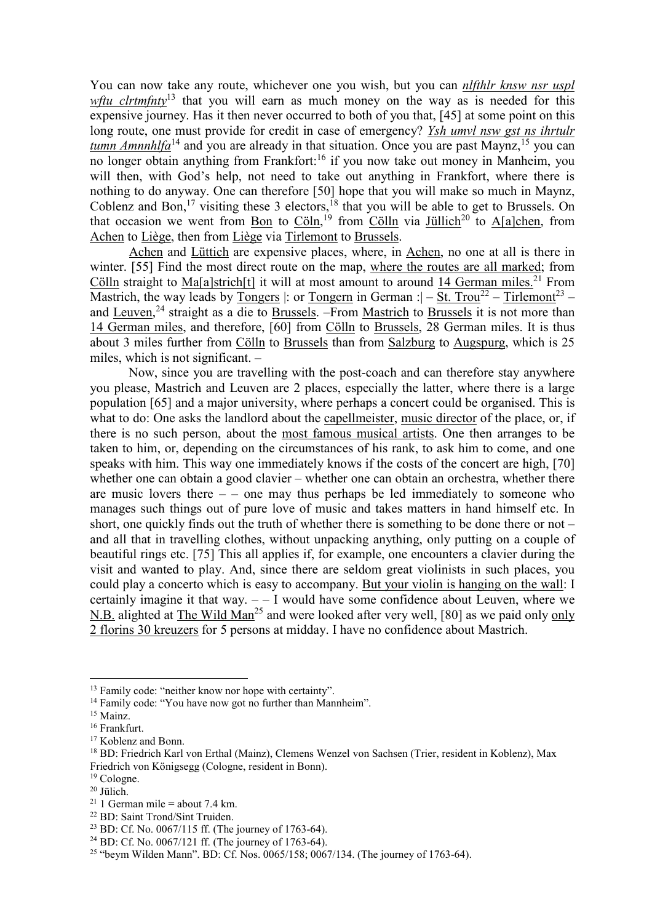You can now take any route, whichever one you wish, but you can *nlfthlr knsw nsr uspl wftu clrtmfnty*<sup>13</sup> that you will earn as much money on the way as is needed for this expensive journey. Has it then never occurred to both of you that, [45] at some point on this long route, one must provide for credit in case of emergency? *Ysh umvl nsw gst ns ihrtulr tumn Amnnhlfa*<sup>14</sup> and you are already in that situation. Once you are past Maynz, <sup>15</sup> you can no longer obtain anything from Frankfort:<sup>16</sup> if you now take out money in Manheim, you will then, with God's help, not need to take out anything in Frankfort, where there is nothing to do anyway. One can therefore [50] hope that you will make so much in Maynz, Coblenz and Bon,<sup>17</sup> visiting these 3 electors,<sup>18</sup> that you will be able to get to Brussels. On that occasion we went from  $\underline{Bon}$  to  $\underline{Cöln}$ ,<sup>19</sup> from  $\underline{Cöln}$  via  $\underline{Jüllich}^{20}$  to  $\underline{A[a]chen}$ , from Achen to Liège, then from Liège via Tirlemont to Brussels.

Achen and Lüttich are expensive places, where, in Achen, no one at all is there in winter. [55] Find the most direct route on the map, where the routes are all marked; from Cölln straight to Ma[a]strich[t] it will at most amount to around 14 German miles.<sup>21</sup> From Mastrich, the way leads by Tongers |: or Tongern in German :|  $-$  St. Trou<sup>22</sup> – Tirlemont<sup>23</sup> – and Leuven, $^{24}$  straight as a die to Brussels. –From Mastrich to Brussels it is not more than 14 German miles, and therefore, [60] from Cölln to Brussels, 28 German miles. It is thus about 3 miles further from Cölln to Brussels than from Salzburg to Augspurg, which is 25 miles, which is not significant. –

Now, since you are travelling with the post-coach and can therefore stay anywhere you please, Mastrich and Leuven are 2 places, especially the latter, where there is a large population [65] and a major university, where perhaps a concert could be organised. This is what to do: One asks the landlord about the capellmeister, music director of the place, or, if there is no such person, about the most famous musical artists. One then arranges to be taken to him, or, depending on the circumstances of his rank, to ask him to come, and one speaks with him. This way one immediately knows if the costs of the concert are high, [70] whether one can obtain a good clavier – whether one can obtain an orchestra, whether there are music lovers there  $-$  – one may thus perhaps be led immediately to someone who manages such things out of pure love of music and takes matters in hand himself etc. In short, one quickly finds out the truth of whether there is something to be done there or not – and all that in travelling clothes, without unpacking anything, only putting on a couple of beautiful rings etc. [75] This all applies if, for example, one encounters a clavier during the visit and wanted to play. And, since there are seldom great violinists in such places, you could play a concerto which is easy to accompany. But your violin is hanging on the wall: I certainly imagine it that way.  $-1$  would have some confidence about Leuven, where we N.B. alighted at The Wild Man<sup>25</sup> and were looked after very well, [80] as we paid only only 2 florins 30 kreuzers for 5 persons at midday. I have no confidence about Mastrich.

 $\overline{a}$ 

<sup>22</sup> BD: Saint Trond/Sint Truiden.

<sup>&</sup>lt;sup>13</sup> Family code: "neither know nor hope with certainty".

<sup>&</sup>lt;sup>14</sup> Family code: "You have now got no further than Mannheim".

<sup>&</sup>lt;sup>15</sup> Mainz.

<sup>16</sup> Frankfurt.

<sup>&</sup>lt;sup>17</sup> Koblenz and Bonn.

<sup>18</sup> BD: Friedrich Karl von Erthal (Mainz), Clemens Wenzel von Sachsen (Trier, resident in Koblenz), Max Friedrich von Königsegg (Cologne, resident in Bonn).

<sup>19</sup> Cologne.

<sup>20</sup> Jülich.

<sup>&</sup>lt;sup>21</sup> 1 German mile = about 7.4 km.

<sup>23</sup> BD: Cf. No. 0067/115 ff. (The journey of 1763-64).

<sup>24</sup> BD: Cf. No. 0067/121 ff. (The journey of 1763-64).

<sup>25</sup> "beym Wilden Mann". BD: Cf. Nos. 0065/158; 0067/134. (The journey of 1763-64).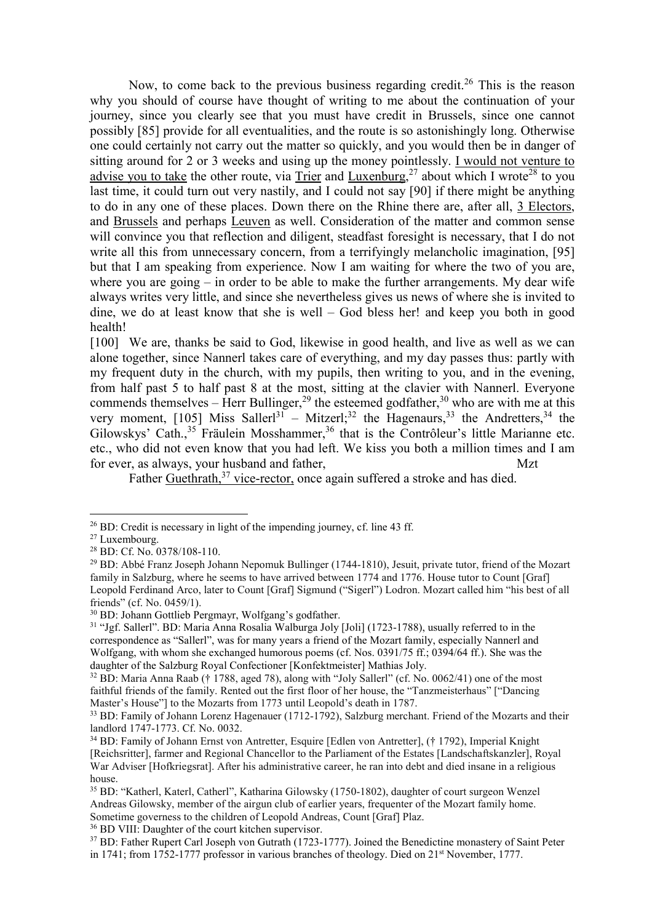Now, to come back to the previous business regarding credit.<sup>26</sup> This is the reason why you should of course have thought of writing to me about the continuation of your journey, since you clearly see that you must have credit in Brussels, since one cannot possibly [85] provide for all eventualities, and the route is so astonishingly long. Otherwise one could certainly not carry out the matter so quickly, and you would then be in danger of sitting around for 2 or 3 weeks and using up the money pointlessly. I would not venture to advise you to take the other route, via Trier and Luxenburg,<sup>27</sup> about which I wrote<sup>28</sup> to you last time, it could turn out very nastily, and I could not say [90] if there might be anything to do in any one of these places. Down there on the Rhine there are, after all, 3 Electors, and Brussels and perhaps Leuven as well. Consideration of the matter and common sense will convince you that reflection and diligent, steadfast foresight is necessary, that I do not write all this from unnecessary concern, from a terrifyingly melancholic imagination, [95] but that I am speaking from experience. Now I am waiting for where the two of you are, where you are going – in order to be able to make the further arrangements. My dear wife always writes very little, and since she nevertheless gives us news of where she is invited to dine, we do at least know that she is well – God bless her! and keep you both in good health!

[100] We are, thanks be said to God, likewise in good health, and live as well as we can alone together, since Nannerl takes care of everything, and my day passes thus: partly with my frequent duty in the church, with my pupils, then writing to you, and in the evening, from half past 5 to half past 8 at the most, sitting at the clavier with Nannerl. Everyone commends themselves – Herr Bullinger,<sup>29</sup> the esteemed godfather,<sup>30</sup> who are with me at this very moment, [105] Miss Saller<sup>[31</sup> – Mitzer];<sup>32</sup> the Hagenaurs,<sup>33</sup> the Andretters,<sup>34</sup> the Gilowskys' Cath.,<sup>35</sup> Fräulein Mosshammer,<sup>36</sup> that is the Contrôleur's little Marianne etc. etc., who did not even know that you had left. We kiss you both a million times and I am for ever, as always, your husband and father, Mzt

Father Guethrath,<sup>37</sup> vice-rector, once again suffered a stroke and has died.

 $\overline{a}$ 

 $26$  BD: Credit is necessary in light of the impending journey, cf. line 43 ff.

<sup>27</sup> Luxembourg.

<sup>28</sup> BD: Cf. No. 0378/108-110.

<sup>&</sup>lt;sup>29</sup> BD: Abbé Franz Joseph Johann Nepomuk Bullinger (1744-1810), Jesuit, private tutor, friend of the Mozart family in Salzburg, where he seems to have arrived between 1774 and 1776. House tutor to Count [Graf] Leopold Ferdinand Arco, later to Count [Graf] Sigmund ("Sigerl") Lodron. Mozart called him "his best of all friends" (cf. No. 0459/1).

<sup>30</sup> BD: Johann Gottlieb Pergmayr, Wolfgang's godfather.

<sup>31</sup> "Jgf. Sallerl". BD: Maria Anna Rosalia Walburga Joly [Joli] (1723-1788), usually referred to in the correspondence as "Sallerl", was for many years a friend of the Mozart family, especially Nannerl and Wolfgang, with whom she exchanged humorous poems (cf. Nos. 0391/75 ff.; 0394/64 ff.). She was the daughter of the Salzburg Royal Confectioner [Konfektmeister] Mathias Joly.

<sup>32</sup> BD: Maria Anna Raab († 1788, aged 78), along with "Joly Sallerl" (cf. No. 0062/41) one of the most faithful friends of the family. Rented out the first floor of her house, the "Tanzmeisterhaus" ["Dancing Master's House"] to the Mozarts from 1773 until Leopold's death in 1787.

<sup>33</sup> BD: Family of Johann Lorenz Hagenauer (1712-1792), Salzburg merchant. Friend of the Mozarts and their landlord 1747-1773. Cf. No. 0032.

<sup>34</sup> BD: Family of Johann Ernst von Antretter, Esquire [Edlen von Antretter], († 1792), Imperial Knight [Reichsritter], farmer and Regional Chancellor to the Parliament of the Estates [Landschaftskanzler], Royal War Adviser [Hofkriegsrat]. After his administrative career, he ran into debt and died insane in a religious house.

<sup>35</sup> BD: "Katherl, Katerl, Catherl", Katharina Gilowsky (1750-1802), daughter of court surgeon Wenzel Andreas Gilowsky, member of the airgun club of earlier years, frequenter of the Mozart family home. Sometime governess to the children of Leopold Andreas, Count [Graf] Plaz.

<sup>36</sup> BD VIII: Daughter of the court kitchen supervisor.

<sup>&</sup>lt;sup>37</sup> BD: Father Rupert Carl Joseph von Gutrath (1723-1777). Joined the Benedictine monastery of Saint Peter in 1741; from 1752-1777 professor in various branches of theology. Died on 21<sup>st</sup> November, 1777.